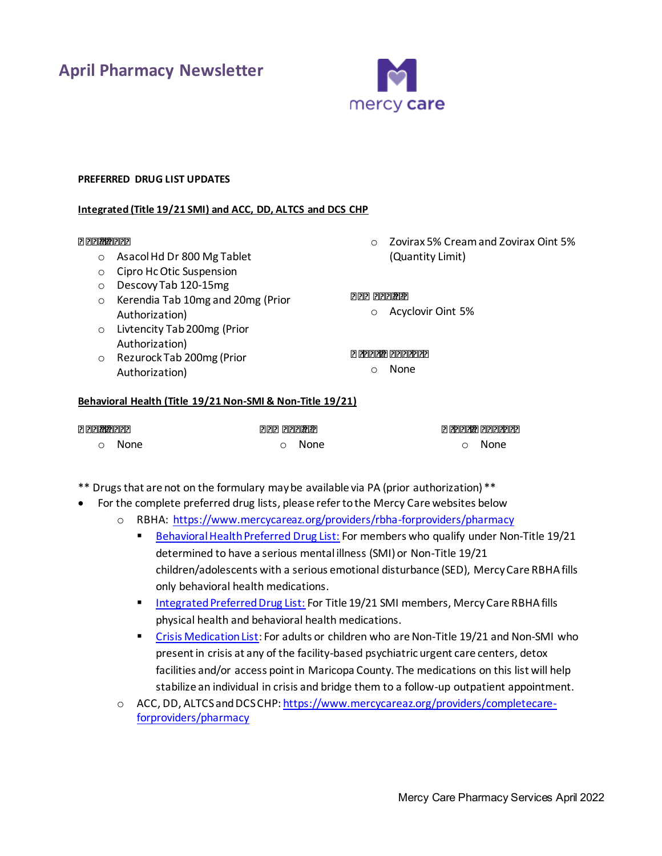**April Pharmacy Newsletter**



## **PREFERRED DRUG LIST UPDATES**

#### **Integrated (Title 19/21 SMI) and ACC, DD, ALTCS and DCS CHP**

#### *Additions:*

- o Asacol Hd Dr 800 Mg Tablet
- o Cipro Hc Otic Suspension
- o Descovy Tab 120-15mg
- o Kerendia Tab 10mg and 20mg (Prior Authorization)
- o Livtencity Tab 200mg (Prior Authorization)
- o Rezurock Tab 200mg (Prior Authorization)

o Zovirax 5% Cream and Zovirax Oint 5% (Quantity Limit)

# *Removals:*

o Acyclovir Oint 5%

*Other Updates* 

o None

#### **Behavioral Health (Title 19/21 Non-SMI & Non-Title 19/21)**

| <b>Additions:</b> | Removals: | <b>Other Updates</b> |
|-------------------|-----------|----------------------|
| റ <b>None</b>     | ⊙ None    | ⊙ None               |

- \*\* Drugs that are not on the formulary may be available via PA (prior authorization) \*\*
- For the complete preferred drug lists, please refer to the Mercy Care websites below
	- o RBHA:<https://www.mercycareaz.org/providers/rbha-forproviders/pharmacy>
		- [Behavioral Health Preferred Drug List:](https://www.mercycareaz.org/assets/pdf/rbha-members/pharmacy/Formulary%20PDLs/8822_MCY_RBHA_FORMULARY_2020.pdf) For members who qualify under Non-Title 19/21 determined to have a serious mental illness (SMI) or Non-Title 19/21 children/adolescents with a serious emotional disturbance (SED), Mercy Care RBHA fills only behavioral health medications.
		- [Integrated Preferred Drug List:](https://www.mercycareaz.org/assets/pdf/rbha-members/pharmacy/Formulary%20PDLs/8805-8822_MCY_FORMULARY_2020.pdf) For Title 19/21 SMI members, Mercy Care RBHA fills physical health and behavioral health medications.
		- [Crisis Medication List:](https://www.mercycareaz.org/assets/pdf/rbha-members/pharmacy/Formulary%20PDLs/Mercy%20Care%20Crisis%20Medication%20List_2020.pdf) For adults or children who are Non-Title 19/21 and Non-SMI who present in crisis at any of the facility-based psychiatric urgent care centers, detox facilities and/or access point in Maricopa County. The medications on this list will help stabilize an individual in crisis and bridge them to a follow-up outpatient appointment.
		- o ACC, DD, ALTCS and DCS CHP[: https://www.mercycareaz.org/providers/completecare](https://www.mercycareaz.org/providers/completecare-forproviders/pharmacy)[forproviders/pharmacy](https://www.mercycareaz.org/providers/completecare-forproviders/pharmacy)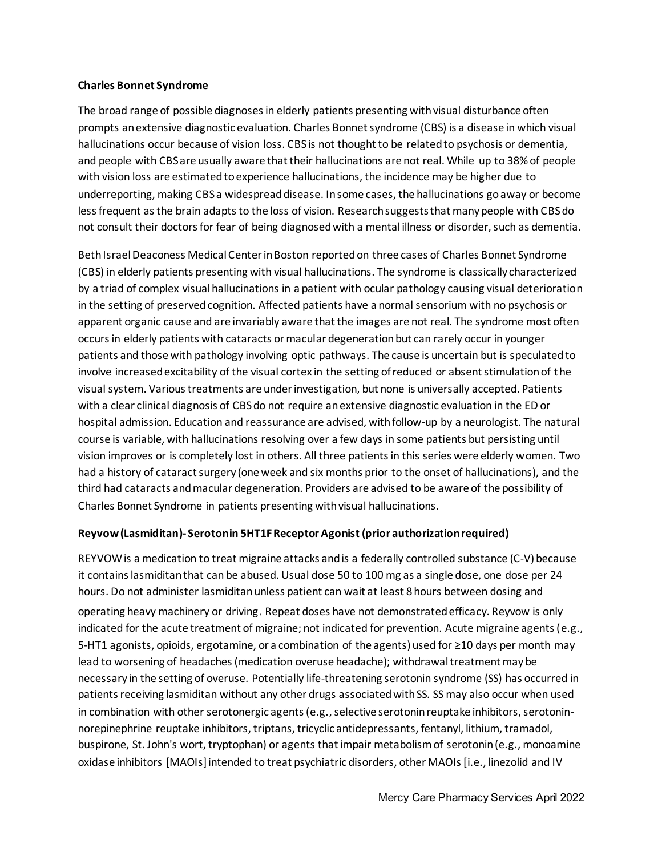## **Charles Bonnet Syndrome**

The broad range of possible diagnoses in elderly patients presenting with visual disturbance often prompts an extensive diagnostic evaluation. Charles Bonnet syndrome (CBS) is a disease in which visual hallucinations occur because of vision loss. CBS is not thought to be related to psychosis or dementia, and people with CBS are usually aware that their hallucinations are not real. While up to 38% of people with vision loss are estimated to experience hallucinations, the incidence may be higher due to underreporting, making CBS a widespread disease. In some cases, the hallucinations go away or become less frequent as the brain adapts to the loss of vision. Research suggeststhat many people with CBS do not consult their doctors for fear of being diagnosed with a mental illness or disorder, such as dementia.

Beth Israel Deaconess Medical Center in Boston reported on three cases of Charles Bonnet Syndrome (CBS) in elderly patients presenting with visual hallucinations. The syndrome is classically characterized by a triad of complex visual hallucinations in a patient with ocular pathology causing visual deterioration in the setting of preserved cognition. Affected patients have a normal sensorium with no psychosis or apparent organic cause and are invariably aware that the images are not real. The syndrome most often occurs in elderly patients with cataracts or macular degeneration but can rarely occur in younger patients and those with pathology involving optic pathways. The cause is uncertain but is speculated to involve increased excitability of the visual cortex in the setting of reduced or absent stimulation of t he visual system. Various treatments are under investigation, but none is universally accepted. Patients with a clear clinical diagnosis of CBS do not require an extensive diagnostic evaluation in the ED or hospital admission. Education and reassurance are advised, with follow-up by a neurologist. The natural course is variable, with hallucinations resolving over a few days in some patients but persisting until vision improves or is completely lost in others. All three patients in this series were elderly women. Two had a history of cataract surgery (one week and six months prior to the onset of hallucinations), and the third had cataracts and macular degeneration. Providers are advised to be aware of the possibility of Charles Bonnet Syndrome in patients presenting with visual hallucinations.

## **Reyvow (Lasmiditan)- Serotonin 5HT1F Receptor Agonist (prior authorizationrequired)**

REYVOW is a medication to treat migraine attacks and is a federally controlled substance (C-V) because it contains lasmiditan that can be abused. Usual dose 50 to 100 mg as a single dose, one dose per 24 hours. Do not administer lasmiditan unless patient can wait at least 8 hours between dosing and operating heavy machinery or driving. Repeat doses have not demonstrated efficacy. Reyvow is only indicated for the acute treatment of migraine; not indicated for prevention. Acute migraine agents(e.g., 5-HT1 agonists, opioids, ergotamine, or a combination of the agents) used for ≥10 days per month may lead to worsening of headaches (medication overuse headache); withdrawal treatment may be necessary in the setting of overuse. Potentially life-threatening serotonin syndrome (SS) has occurred in patients receiving lasmiditan without any other drugs associated with SS. SS may also occur when used in combination with other serotonergic agents (e.g., selective serotonin reuptake inhibitors, serotoninnorepinephrine reuptake inhibitors, triptans, tricyclic antidepressants, fentanyl, lithium, tramadol, buspirone, St. John's wort, tryptophan) or agents that impair metabolism of serotonin (e.g., monoamine oxidase inhibitors [MAOIs] intended to treat psychiatric disorders, other MAOIs [i.e., linezolid and IV